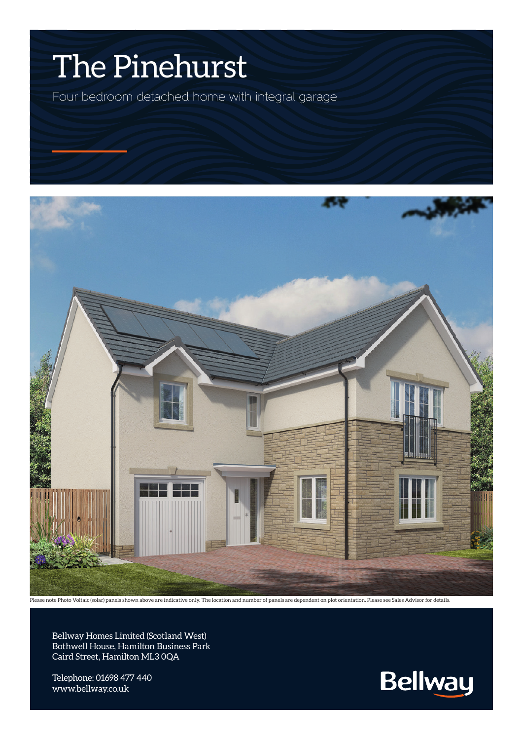## The Pinehurst

Four bedroom detached home with integral garage



ase note Photo Voltaic (solar) panels shown above are indicative only. The location and number of panels are dependent on plot orientation. Please see Sales Advisor for details.

Bellway Homes Limited (Scotland West) Bothwell House, Hamilton Business Park Caird Street, Hamilton ML3 0QA

Telephone: 01698 477 440 www.bellway.co.uk